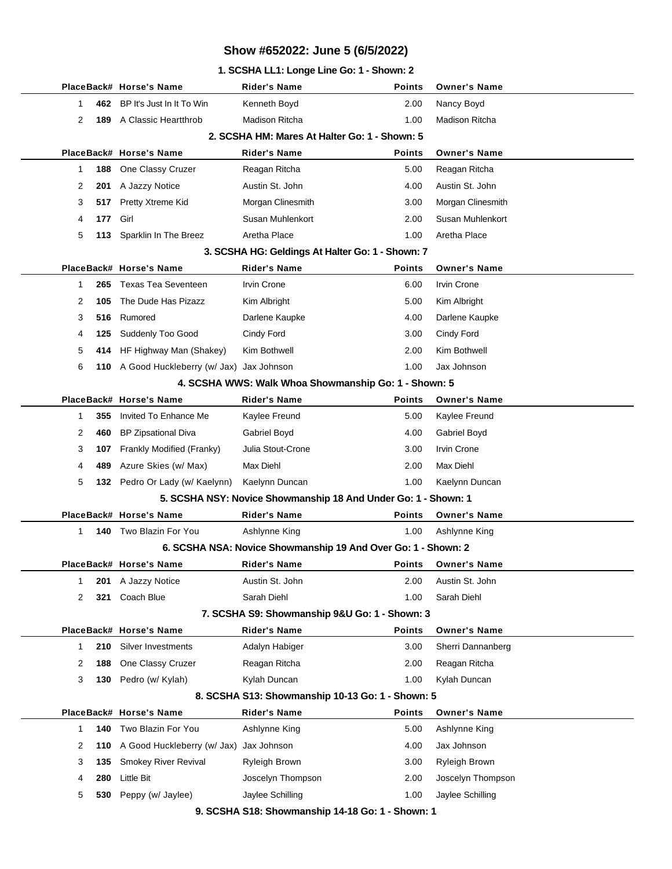### **1. SCSHA LL1: Longe Line Go: 1 - Shown: 2**

|                                               |                                                  |     | PlaceBack# Horse's Name                     | Rider's Name                                                   | Points        | <b>Owner's Name</b>  |  |  |
|-----------------------------------------------|--------------------------------------------------|-----|---------------------------------------------|----------------------------------------------------------------|---------------|----------------------|--|--|
|                                               | 1                                                | 462 | BP It's Just In It To Win                   | Kenneth Boyd                                                   | 2.00          | Nancy Boyd           |  |  |
|                                               | 2                                                | 189 | A Classic Heartthrob                        | <b>Madison Ritcha</b>                                          | 1.00          | Madison Ritcha       |  |  |
|                                               | 2. SCSHA HM: Mares At Halter Go: 1 - Shown: 5    |     |                                             |                                                                |               |                      |  |  |
|                                               |                                                  |     | PlaceBack# Horse's Name                     | Rider's Name                                                   | Points        | <b>Owner's Name</b>  |  |  |
|                                               | 1                                                | 188 | One Classy Cruzer                           | Reagan Ritcha                                                  | 5.00          | Reagan Ritcha        |  |  |
|                                               | 2                                                | 201 | A Jazzy Notice                              | Austin St. John                                                | 4.00          | Austin St. John      |  |  |
|                                               | 3                                                | 517 | Pretty Xtreme Kid                           | Morgan Clinesmith                                              | 3.00          | Morgan Clinesmith    |  |  |
|                                               | 4                                                | 177 | Girl                                        | Susan Muhlenkort                                               | 2.00          | Susan Muhlenkort     |  |  |
|                                               | 5                                                | 113 | Sparklin In The Breez                       | Aretha Place                                                   | 1.00          | Aretha Place         |  |  |
|                                               | 3. SCSHA HG: Geldings At Halter Go: 1 - Shown: 7 |     |                                             |                                                                |               |                      |  |  |
|                                               |                                                  |     | PlaceBack# Horse's Name                     | Rider's Name                                                   | Points        | <b>Owner's Name</b>  |  |  |
|                                               | 1                                                | 265 | Texas Tea Seventeen                         | Irvin Crone                                                    | 6.00          | <b>Irvin Crone</b>   |  |  |
|                                               | 2                                                | 105 | The Dude Has Pizazz                         | Kim Albright                                                   | 5.00          | Kim Albright         |  |  |
|                                               | 3                                                | 516 | Rumored                                     | Darlene Kaupke                                                 | 4.00          | Darlene Kaupke       |  |  |
|                                               | 4                                                | 125 | Suddenly Too Good                           | Cindy Ford                                                     | 3.00          | Cindy Ford           |  |  |
|                                               | 5                                                |     | 414 HF Highway Man (Shakey)                 | Kim Bothwell                                                   | 2.00          | Kim Bothwell         |  |  |
|                                               | 6                                                |     | 110 A Good Huckleberry (w/ Jax) Jax Johnson |                                                                | 1.00          | Jax Johnson          |  |  |
|                                               |                                                  |     |                                             | 4. SCSHA WWS: Walk Whoa Showmanship Go: 1 - Shown: 5           |               |                      |  |  |
|                                               |                                                  |     | PlaceBack# Horse's Name                     | Rider's Name                                                   | Points        | <b>Owner's Name</b>  |  |  |
|                                               | 1                                                | 355 | Invited To Enhance Me                       | Kaylee Freund                                                  | 5.00          | Kaylee Freund        |  |  |
|                                               | 2                                                | 460 | <b>BP Zipsational Diva</b>                  | Gabriel Boyd                                                   | 4.00          | Gabriel Boyd         |  |  |
|                                               | 3                                                | 107 | Frankly Modified (Franky)                   | Julia Stout-Crone                                              | 3.00          | <b>Irvin Crone</b>   |  |  |
|                                               | 4                                                | 489 | Azure Skies (w/ Max)                        | Max Diehl                                                      | 2.00          | Max Diehl            |  |  |
|                                               | 5                                                |     | 132 Pedro Or Lady (w/ Kaelynn)              | Kaelynn Duncan                                                 | 1.00          | Kaelynn Duncan       |  |  |
|                                               |                                                  |     |                                             | 5. SCSHA NSY: Novice Showmanship 18 And Under Go: 1 - Shown: 1 |               |                      |  |  |
|                                               |                                                  |     | PlaceBack# Horse's Name                     | Rider's Name                                                   | Points        | <b>Owner's Name</b>  |  |  |
|                                               | $\mathbf{1}$                                     |     | 140 Two Blazin For You                      | Ashlynne King                                                  | 1.00          | Ashlynne King        |  |  |
|                                               |                                                  |     |                                             | 6. SCSHA NSA: Novice Showmanship 19 And Over Go: 1 - Shown: 2  |               |                      |  |  |
|                                               |                                                  |     | PlaceBack# Horse's Name                     | Rider's Name                                                   |               | Points Owner's Name  |  |  |
|                                               | 1                                                | 201 | A Jazzy Notice                              | Austin St. John                                                | 2.00          | Austin St. John      |  |  |
|                                               | 2                                                | 321 | Coach Blue                                  | Sarah Diehl                                                    | 1.00          | Sarah Diehl          |  |  |
| 7. SCSHA S9: Showmanship 9&U Go: 1 - Shown: 3 |                                                  |     |                                             |                                                                |               |                      |  |  |
|                                               |                                                  |     | PlaceBack# Horse's Name                     | <b>Rider's Name</b>                                            | <b>Points</b> | <b>Owner's Name</b>  |  |  |
|                                               | 1                                                | 210 | Silver Investments                          | Adalyn Habiger                                                 | 3.00          | Sherri Dannanberg    |  |  |
|                                               | 2                                                | 188 | One Classy Cruzer                           | Reagan Ritcha                                                  | 2.00          | Reagan Ritcha        |  |  |
|                                               | 3                                                | 130 | Pedro (w/ Kylah)                            | Kylah Duncan                                                   | 1.00          | Kylah Duncan         |  |  |
|                                               | 8. SCSHA S13: Showmanship 10-13 Go: 1 - Shown: 5 |     |                                             |                                                                |               |                      |  |  |
|                                               |                                                  |     | PlaceBack# Horse's Name                     | Rider's Name                                                   | Points        | <b>Owner's Name</b>  |  |  |
|                                               | 1                                                | 140 | Two Blazin For You                          | Ashlynne King                                                  | 5.00          | Ashlynne King        |  |  |
|                                               | 2                                                | 110 | A Good Huckleberry (w/ Jax)                 | Jax Johnson                                                    | 4.00          | Jax Johnson          |  |  |
|                                               | 3                                                | 135 | <b>Smokey River Revival</b>                 | Ryleigh Brown                                                  | 3.00          | <b>Ryleigh Brown</b> |  |  |
|                                               | 4                                                | 280 | <b>Little Bit</b>                           | Joscelyn Thompson                                              | 2.00          | Joscelyn Thompson    |  |  |
|                                               | 5                                                | 530 | Peppy (w/ Jaylee)                           | Jaylee Schilling                                               | 1.00          | Jaylee Schilling     |  |  |
|                                               |                                                  |     |                                             | 0 SCCUA S18. Showmanship 14-18 Co. 1 - Shown: 1                |               |                      |  |  |

**9. SCSHA S18: Showmanship 14-18 Go: 1 - Shown: 1**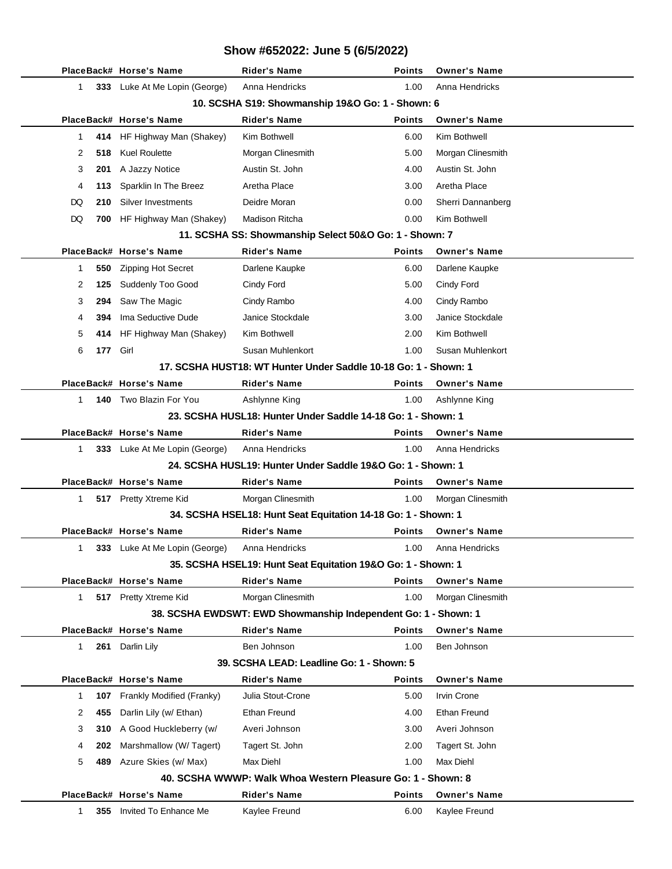| Show #652022: June 5 (6/5/2022)                                |                               |                                                                 |               |                     |  |  |  |
|----------------------------------------------------------------|-------------------------------|-----------------------------------------------------------------|---------------|---------------------|--|--|--|
|                                                                | PlaceBack# Horse's Name       | <b>Rider's Name</b>                                             | <b>Points</b> | <b>Owner's Name</b> |  |  |  |
| $\mathbf{1}$                                                   | 333 Luke At Me Lopin (George) | Anna Hendricks                                                  | 1.00          | Anna Hendricks      |  |  |  |
| 10. SCSHA S19: Showmanship 19&O Go: 1 - Shown: 6               |                               |                                                                 |               |                     |  |  |  |
|                                                                | PlaceBack# Horse's Name       | <b>Rider's Name</b>                                             | <b>Points</b> | <b>Owner's Name</b> |  |  |  |
| 1<br>414                                                       | HF Highway Man (Shakey)       | Kim Bothwell                                                    | 6.00          | Kim Bothwell        |  |  |  |
| 2<br>518                                                       | <b>Kuel Roulette</b>          | Morgan Clinesmith                                               | 5.00          | Morgan Clinesmith   |  |  |  |
| 3<br>201                                                       | A Jazzy Notice                | Austin St. John                                                 | 4.00          | Austin St. John     |  |  |  |
| 4<br>113                                                       | Sparklin In The Breez         | Aretha Place                                                    | 3.00          | Aretha Place        |  |  |  |
| DQ<br>210                                                      | Silver Investments            | Deidre Moran                                                    | 0.00          | Sherri Dannanberg   |  |  |  |
| DQ<br>700                                                      | HF Highway Man (Shakey)       | <b>Madison Ritcha</b>                                           | 0.00          | Kim Bothwell        |  |  |  |
|                                                                |                               | 11. SCSHA SS: Showmanship Select 50&O Go: 1 - Shown: 7          |               |                     |  |  |  |
|                                                                | PlaceBack# Horse's Name       | <b>Rider's Name</b>                                             | <b>Points</b> | <b>Owner's Name</b> |  |  |  |
| 550<br>1                                                       | <b>Zipping Hot Secret</b>     | Darlene Kaupke                                                  | 6.00          | Darlene Kaupke      |  |  |  |
| 2<br>125                                                       | Suddenly Too Good             | Cindy Ford                                                      | 5.00          | Cindy Ford          |  |  |  |
| 294<br>3                                                       | Saw The Magic                 | Cindy Rambo                                                     | 4.00          | Cindy Rambo         |  |  |  |
| 4<br>394                                                       | Ima Seductive Dude            | Janice Stockdale                                                | 3.00          | Janice Stockdale    |  |  |  |
| 5<br>414                                                       | HF Highway Man (Shakey)       | Kim Bothwell                                                    | 2.00          | Kim Bothwell        |  |  |  |
| 6<br>177                                                       | Girl                          | Susan Muhlenkort                                                | 1.00          | Susan Muhlenkort    |  |  |  |
|                                                                |                               | 17. SCSHA HUST18: WT Hunter Under Saddle 10-18 Go: 1 - Shown: 1 |               |                     |  |  |  |
|                                                                | PlaceBack# Horse's Name       | <b>Rider's Name</b>                                             | Points        | <b>Owner's Name</b> |  |  |  |
| 1                                                              | 140 Two Blazin For You        | Ashlynne King                                                   | 1.00          | Ashlynne King       |  |  |  |
|                                                                |                               | 23. SCSHA HUSL18: Hunter Under Saddle 14-18 Go: 1 - Shown: 1    |               |                     |  |  |  |
|                                                                | PlaceBack# Horse's Name       | <b>Rider's Name</b>                                             | <b>Points</b> | <b>Owner's Name</b> |  |  |  |
| 1                                                              | 333 Luke At Me Lopin (George) | Anna Hendricks                                                  | 1.00          | Anna Hendricks      |  |  |  |
|                                                                |                               | 24. SCSHA HUSL19: Hunter Under Saddle 19&O Go: 1 - Shown: 1     |               |                     |  |  |  |
|                                                                | PlaceBack# Horse's Name       | <b>Rider's Name</b>                                             | Points        | <b>Owner's Name</b> |  |  |  |
| 1.                                                             | 517 Pretty Xtreme Kid         | Morgan Clinesmith                                               | 1.00          | Morgan Clinesmith   |  |  |  |
|                                                                |                               | 34. SCSHA HSEL18: Hunt Seat Equitation 14-18 Go: 1 - Shown: 1   |               |                     |  |  |  |
|                                                                | PlaceBack# Horse's Name       | Rider's Name                                                    | Points        | <b>Owner's Name</b> |  |  |  |
| $\mathbf{1}$                                                   | 333 Luke At Me Lopin (George) | Anna Hendricks                                                  | 1.00          | Anna Hendricks      |  |  |  |
| 35. SCSHA HSEL19: Hunt Seat Equitation 19&O Go: 1 - Shown: 1   |                               |                                                                 |               |                     |  |  |  |
|                                                                | PlaceBack# Horse's Name       | <b>Rider's Name</b>                                             | <b>Points</b> | <b>Owner's Name</b> |  |  |  |
| $\mathbf{1}$                                                   | 517 Pretty Xtreme Kid         | Morgan Clinesmith                                               | 1.00          | Morgan Clinesmith   |  |  |  |
| 38. SCSHA EWDSWT: EWD Showmanship Independent Go: 1 - Shown: 1 |                               |                                                                 |               |                     |  |  |  |
|                                                                | PlaceBack# Horse's Name       | <b>Rider's Name</b>                                             | <b>Points</b> | <b>Owner's Name</b> |  |  |  |
| $\mathbf{1}$<br>261                                            | Darlin Lily                   | Ben Johnson                                                     | 1.00          | Ben Johnson         |  |  |  |
|                                                                |                               | 39. SCSHA LEAD: Leadline Go: 1 - Shown: 5                       |               |                     |  |  |  |
|                                                                | PlaceBack# Horse's Name       | <b>Rider's Name</b>                                             | <b>Points</b> | <b>Owner's Name</b> |  |  |  |
| 1<br>107                                                       | Frankly Modified (Franky)     | Julia Stout-Crone                                               | 5.00          | Irvin Crone         |  |  |  |
| 2<br>455                                                       | Darlin Lily (w/ Ethan)        | <b>Ethan Freund</b>                                             | 4.00          | <b>Ethan Freund</b> |  |  |  |
| 310<br>3                                                       | A Good Huckleberry (w/        | Averi Johnson                                                   | 3.00          | Averi Johnson       |  |  |  |
| 4<br>202                                                       | Marshmallow (W/Tagert)        | Tagert St. John                                                 | 2.00          | Tagert St. John     |  |  |  |
| 5<br>489                                                       | Azure Skies (w/ Max)          | Max Diehl                                                       | 1.00          | Max Diehl           |  |  |  |
| 40. SCSHA WWWP: Walk Whoa Western Pleasure Go: 1 - Shown: 8    |                               |                                                                 |               |                     |  |  |  |
|                                                                | PlaceBack# Horse's Name       | <b>Rider's Name</b>                                             | <b>Points</b> | <b>Owner's Name</b> |  |  |  |
| 1<br>355                                                       | Invited To Enhance Me         | Kaylee Freund                                                   | 6.00          | Kaylee Freund       |  |  |  |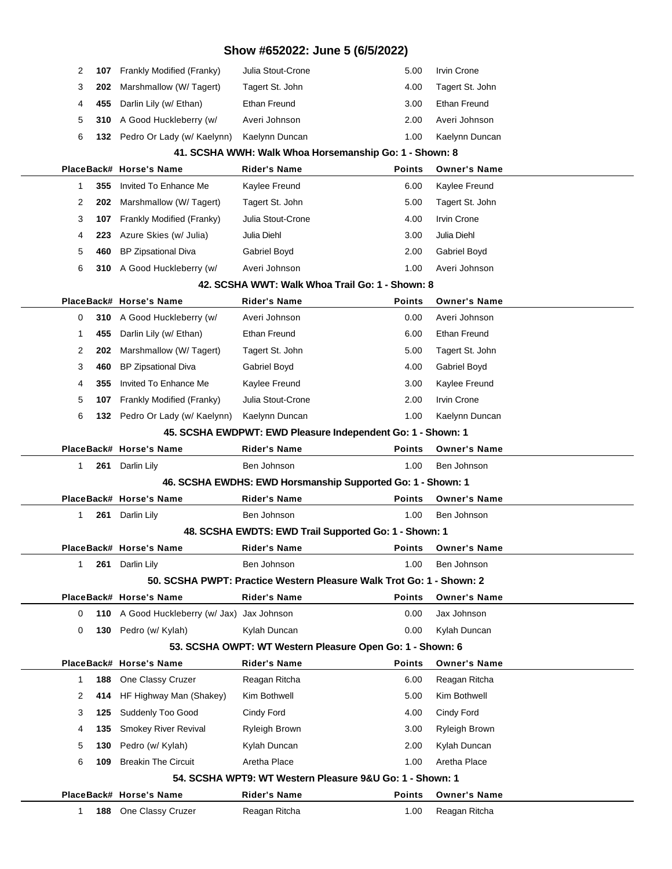| 2                                                      | 107 | Frankly Modified (Franky)                    | Julia Stout-Crone                                                    | 5.00           | Irvin Crone                          |  |  |
|--------------------------------------------------------|-----|----------------------------------------------|----------------------------------------------------------------------|----------------|--------------------------------------|--|--|
| 3                                                      | 202 | Marshmallow (W/Tagert)                       | Tagert St. John                                                      | 4.00           | Tagert St. John                      |  |  |
| 4                                                      | 455 | Darlin Lily (w/ Ethan)                       | Ethan Freund                                                         | 3.00           | Ethan Freund                         |  |  |
| 5                                                      | 310 | A Good Huckleberry (w/                       | Averi Johnson                                                        | 2.00           | Averi Johnson                        |  |  |
| 6                                                      |     | 132 Pedro Or Lady (w/ Kaelynn)               | Kaelynn Duncan                                                       | 1.00           | Kaelynn Duncan                       |  |  |
| 41. SCSHA WWH: Walk Whoa Horsemanship Go: 1 - Shown: 8 |     |                                              |                                                                      |                |                                      |  |  |
|                                                        |     | PlaceBack# Horse's Name                      | Rider's Name                                                         | Points         | <b>Owner's Name</b>                  |  |  |
| 1                                                      | 355 | Invited To Enhance Me                        | Kaylee Freund                                                        | 6.00           | Kaylee Freund                        |  |  |
| 2                                                      | 202 | Marshmallow (W/Tagert)                       | Tagert St. John                                                      | 5.00           | Tagert St. John                      |  |  |
| 3                                                      | 107 | Frankly Modified (Franky)                    | Julia Stout-Crone                                                    | 4.00           | <b>Irvin Crone</b>                   |  |  |
| 4                                                      | 223 | Azure Skies (w/ Julia)                       | Julia Diehl                                                          | 3.00           | Julia Diehl                          |  |  |
| 5                                                      | 460 | <b>BP Zipsational Diva</b>                   | Gabriel Boyd                                                         | 2.00           | Gabriel Boyd                         |  |  |
| 6                                                      |     | 310 A Good Huckleberry (w/                   | Averi Johnson                                                        | 1.00           | Averi Johnson                        |  |  |
|                                                        |     |                                              | 42. SCSHA WWT: Walk Whoa Trail Go: 1 - Shown: 8                      |                |                                      |  |  |
|                                                        |     | PlaceBack# Horse's Name                      | <b>Rider's Name</b>                                                  | Points         | <b>Owner's Name</b>                  |  |  |
| 0                                                      |     | 310 A Good Huckleberry (w/                   | Averi Johnson                                                        | 0.00           | Averi Johnson                        |  |  |
| 1                                                      | 455 | Darlin Lily (w/ Ethan)                       | Ethan Freund                                                         | 6.00           | Ethan Freund                         |  |  |
| 2                                                      | 202 | Marshmallow (W/Tagert)                       | Tagert St. John                                                      | 5.00           | Tagert St. John                      |  |  |
| 3                                                      | 460 | <b>BP Zipsational Diva</b>                   | Gabriel Boyd                                                         | 4.00           | Gabriel Boyd                         |  |  |
| 4                                                      | 355 | Invited To Enhance Me                        | Kaylee Freund                                                        | 3.00           | Kaylee Freund                        |  |  |
| 5                                                      | 107 | Frankly Modified (Franky)                    | Julia Stout-Crone                                                    | 2.00           | <b>Irvin Crone</b>                   |  |  |
| 6                                                      |     | 132 Pedro Or Lady (w/ Kaelynn)               | Kaelynn Duncan                                                       | 1.00           | Kaelynn Duncan                       |  |  |
|                                                        |     |                                              | 45. SCSHA EWDPWT: EWD Pleasure Independent Go: 1 - Shown: 1          |                |                                      |  |  |
|                                                        |     | PlaceBack# Horse's Name                      | <b>Rider's Name</b>                                                  | <b>Points</b>  | <b>Owner's Name</b>                  |  |  |
|                                                        |     |                                              |                                                                      |                |                                      |  |  |
| 1                                                      |     | 261 Darlin Lily                              | Ben Johnson                                                          | 1.00           | Ben Johnson                          |  |  |
|                                                        |     |                                              | 46. SCSHA EWDHS: EWD Horsmanship Supported Go: 1 - Shown: 1          |                |                                      |  |  |
|                                                        |     | PlaceBack# Horse's Name                      | <b>Rider's Name</b>                                                  | <b>Points</b>  | <b>Owner's Name</b>                  |  |  |
| 1                                                      | 261 | Darlin Lily                                  | Ben Johnson                                                          | 1.00           | Ben Johnson                          |  |  |
|                                                        |     |                                              | 48. SCSHA EWDTS: EWD Trail Supported Go: 1 - Shown: 1                |                |                                      |  |  |
|                                                        |     | PlaceBack# Horse's Name                      | Rider's Name                                                         | Points         | <b>Owner's Name</b>                  |  |  |
| 1                                                      |     | 261 Darlin Lily                              | Ben Johnson                                                          | 1.00           | Ben Johnson                          |  |  |
|                                                        |     |                                              | 50. SCSHA PWPT: Practice Western Pleasure Walk Trot Go: 1 - Shown: 2 |                |                                      |  |  |
|                                                        |     | PlaceBack# Horse's Name                      | <b>Rider's Name</b>                                                  | <b>Points</b>  | <b>Owner's Name</b>                  |  |  |
| 0                                                      |     | 110 A Good Huckleberry (w/ Jax) Jax Johnson  |                                                                      | 0.00           | Jax Johnson                          |  |  |
| 0                                                      |     | 130 Pedro (w/ Kylah)                         | Kylah Duncan                                                         | 0.00           | Kylah Duncan                         |  |  |
|                                                        |     |                                              | 53. SCSHA OWPT: WT Western Pleasure Open Go: 1 - Shown: 6            |                |                                      |  |  |
|                                                        |     | PlaceBack# Horse's Name                      | <b>Rider's Name</b>                                                  | <b>Points</b>  | <b>Owner's Name</b>                  |  |  |
| 1                                                      | 188 | One Classy Cruzer                            | Reagan Ritcha                                                        | 6.00           | Reagan Ritcha                        |  |  |
| 2                                                      | 414 | HF Highway Man (Shakey)                      | Kim Bothwell                                                         | 5.00           | Kim Bothwell                         |  |  |
| 3                                                      | 125 | Suddenly Too Good                            | Cindy Ford                                                           | 4.00           | Cindy Ford                           |  |  |
| 4                                                      | 135 | Smokey River Revival                         | Ryleigh Brown                                                        | 3.00           | Ryleigh Brown                        |  |  |
| 5                                                      | 130 | Pedro (w/ Kylah)                             | Kylah Duncan                                                         | 2.00           | Kylah Duncan                         |  |  |
| 6                                                      | 109 | <b>Breakin The Circuit</b>                   | Aretha Place                                                         | 1.00           | Aretha Place                         |  |  |
|                                                        |     |                                              | 54. SCSHA WPT9: WT Western Pleasure 9&U Go: 1 - Shown: 1             |                |                                      |  |  |
| 1                                                      | 188 | PlaceBack# Horse's Name<br>One Classy Cruzer | <b>Rider's Name</b><br>Reagan Ritcha                                 | Points<br>1.00 | <b>Owner's Name</b><br>Reagan Ritcha |  |  |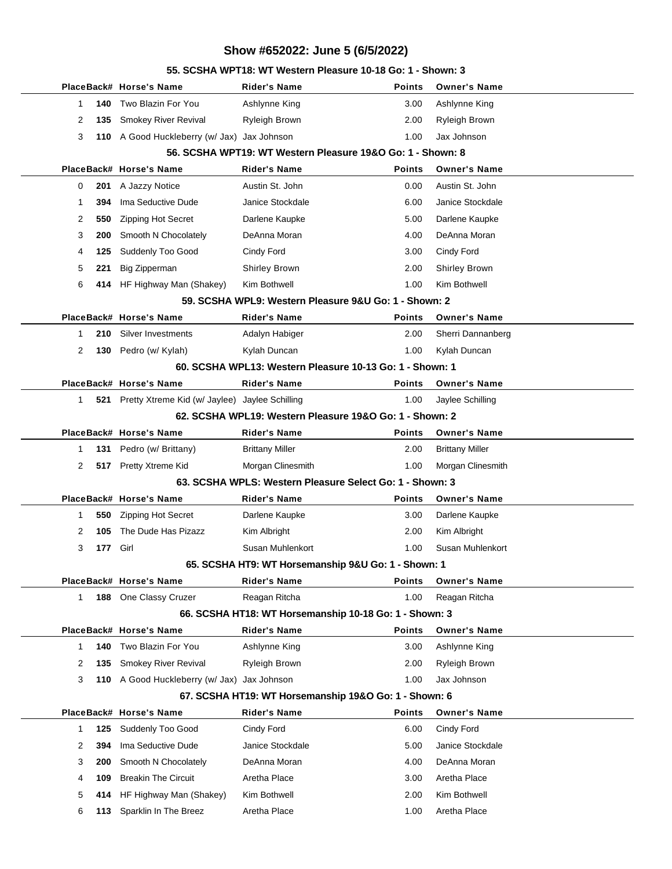## **PlaceBack# Horse's Name Rider's Name Points Owner's Name** 1 **140** Two Blazin For You Ashlynne King 3.00 Ashlynne King 2 **135** Smokey River Revival Ryleigh Brown 2.00 Ryleigh Brown 3 **110** A Good Huckleberry (w/ Jax) Jax Johnson 1.00 Jax Johnson **56. SCSHA WPT19: WT Western Pleasure 19&O Go: 1 - Shown: 8 PlaceBack# Horse's Name Rider's Name Points Owner's Name** 0 **201** A Jazzy Notice Austin St. John 0.00 Austin St. John 1 **394** Ima Seductive Dude Janice Stockdale 6.00 Janice Stockdale 2 **550** Zipping Hot Secret Darlene Kaupke 5.00 Darlene Kaupke 3 **200** Smooth N Chocolately DeAnna Moran 4.00 DeAnna Moran 4 **125** Suddenly Too Good Cindy Ford 3.00 Cindy Ford 5 **221** Big Zipperman Shirley Brown 2.00 Shirley Brown 6 **414** HF Highway Man (Shakey) Kim Bothwell 1.00 Kim Bothwell **59. SCSHA WPL9: Western Pleasure 9&U Go: 1 - Shown: 2 PlaceBack# Horse's Name Rider's Name Points Owner's Name** 1 **210** Silver Investments Adalyn Habiger 2.00 Sherri Dannanberg 2 **130** Pedro (w/ Kylah) Kylah Duncan 1.00 Kylah Duncan **60. SCSHA WPL13: Western Pleasure 10-13 Go: 1 - Shown: 1 PlaceBack# Horse's Name Rider's Name Points Owner's Name** 1 **521** Pretty Xtreme Kid (w/ Jaylee) Jaylee Schilling 1.00 Jaylee Schilling **62. SCSHA WPL19: Western Pleasure 19&O Go: 1 - Shown: 2 PlaceBack# Horse's Name Rider's Name Points Owner's Name** 1 **131** Pedro (w/ Brittany) Brittany Miller 2.00 Brittany Miller 2 **517** Pretty Xtreme Kid Morgan Clinesmith 1.00 Morgan Clinesmith **63. SCSHA WPLS: Western Pleasure Select Go: 1 - Shown: 3 PlaceBack# Horse's Name Rider's Name Points Owner's Name** 1 **550** Zipping Hot Secret Darlene Kaupke 3.00 Darlene Kaupke 2 **105** The Dude Has Pizazz Kim Albright 2.00 Kim Albright 3 **177** Girl Susan Muhlenkort 1.00 Susan Muhlenkort **65. SCSHA HT9: WT Horsemanship 9&U Go: 1 - Shown: 1 PlaceBack# Horse's Name Rider's Name Points Owner's Name** 1 **188** One Classy Cruzer Reagan Ritcha 1.00 Reagan Ritcha **66. SCSHA HT18: WT Horsemanship 10-18 Go: 1 - Shown: 3 PlaceBack# Horse's Name Rider's Name Points Owner's Name** 1 **140** Two Blazin For You Ashlynne King 3.00 Ashlynne King 2 **135** Smokey River Revival Ryleigh Brown 2.00 Ryleigh Brown 3 **110** A Good Huckleberry (w/ Jax) Jax Johnson 1.00 Jax Johnson **67. SCSHA HT19: WT Horsemanship 19&O Go: 1 - Shown: 6 PlaceBack# Horse's Name Rider's Name Points Owner's Name** 1 **125** Suddenly Too Good Cindy Ford Cindy Ford 6.00 Cindy Ford 2 **394** Ima Seductive Dude Janice Stockdale 5.00 Janice Stockdale 3 **200** Smooth N Chocolately DeAnna Moran 4.00 DeAnna Moran 4 **109** Breakin The Circuit Aretha Place 3.00 Aretha Place 5 **414** HF Highway Man (Shakey) Kim Bothwell 2.00 Kim Bothwell 6 **113** Sparklin In The Breez Aretha Place 1.00 Aretha Place

#### **55. SCSHA WPT18: WT Western Pleasure 10-18 Go: 1 - Shown: 3**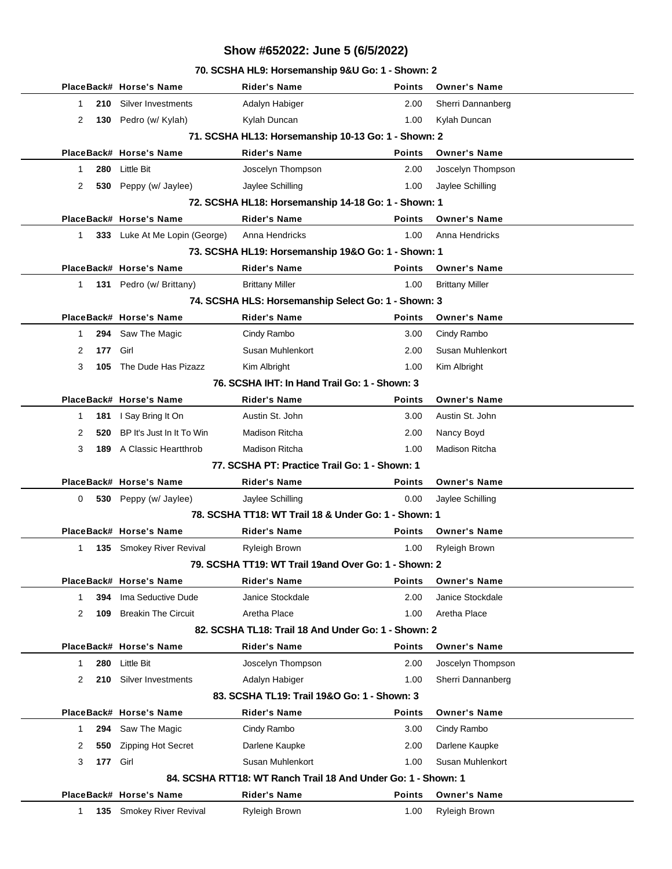### **70. SCSHA HL9: Horsemanship 9&U Go: 1 - Shown: 2**

|                                                      | PlaceBack# Horse's Name                                       | Rider's Name                                         | <b>Points</b> | <b>Owner's Name</b>    |  |  |  |  |
|------------------------------------------------------|---------------------------------------------------------------|------------------------------------------------------|---------------|------------------------|--|--|--|--|
| 1<br>210                                             | Silver Investments                                            | Adalyn Habiger                                       | 2.00          | Sherri Dannanberg      |  |  |  |  |
| 2                                                    | 130 Pedro (w/ Kylah)                                          | Kylah Duncan                                         | 1.00          | Kylah Duncan           |  |  |  |  |
|                                                      | 71. SCSHA HL13: Horsemanship 10-13 Go: 1 - Shown: 2           |                                                      |               |                        |  |  |  |  |
|                                                      | PlaceBack# Horse's Name                                       | <b>Rider's Name</b>                                  | <b>Points</b> | <b>Owner's Name</b>    |  |  |  |  |
| 280<br>1                                             | Little Bit                                                    | Joscelyn Thompson                                    | 2.00          | Joscelyn Thompson      |  |  |  |  |
| 2                                                    | 530 Peppy (w/ Jaylee)                                         | Jaylee Schilling                                     | 1.00          | Jaylee Schilling       |  |  |  |  |
|                                                      |                                                               | 72. SCSHA HL18: Horsemanship 14-18 Go: 1 - Shown: 1  |               |                        |  |  |  |  |
|                                                      | PlaceBack# Horse's Name                                       | <b>Rider's Name</b>                                  | <b>Points</b> | <b>Owner's Name</b>    |  |  |  |  |
| 1                                                    | 333 Luke At Me Lopin (George)                                 | Anna Hendricks                                       | 1.00          | Anna Hendricks         |  |  |  |  |
|                                                      |                                                               | 73. SCSHA HL19: Horsemanship 19&O Go: 1 - Shown: 1   |               |                        |  |  |  |  |
|                                                      | PlaceBack# Horse's Name                                       | <b>Rider's Name</b>                                  | <b>Points</b> | <b>Owner's Name</b>    |  |  |  |  |
| 1                                                    | 131 Pedro (w/ Brittany)                                       | <b>Brittany Miller</b>                               | 1.00          | <b>Brittany Miller</b> |  |  |  |  |
|                                                      |                                                               | 74. SCSHA HLS: Horsemanship Select Go: 1 - Shown: 3  |               |                        |  |  |  |  |
|                                                      | PlaceBack# Horse's Name                                       | <b>Rider's Name</b>                                  | <b>Points</b> | <b>Owner's Name</b>    |  |  |  |  |
| 1                                                    | 294 Saw The Magic                                             | Cindy Rambo                                          | 3.00          | Cindy Rambo            |  |  |  |  |
| 177<br>2                                             | Girl                                                          | Susan Muhlenkort                                     | 2.00          | Susan Muhlenkort       |  |  |  |  |
| 3<br>105                                             | The Dude Has Pizazz                                           | Kim Albright                                         | 1.00          | Kim Albright           |  |  |  |  |
|                                                      |                                                               | 76. SCSHA IHT: In Hand Trail Go: 1 - Shown: 3        |               |                        |  |  |  |  |
|                                                      | PlaceBack# Horse's Name                                       | <b>Rider's Name</b>                                  | <b>Points</b> | <b>Owner's Name</b>    |  |  |  |  |
| 181<br>1                                             | I Say Bring It On                                             | Austin St. John                                      | 3.00          | Austin St. John        |  |  |  |  |
| 2<br>520                                             | BP It's Just In It To Win                                     | <b>Madison Ritcha</b>                                | 2.00          | Nancy Boyd             |  |  |  |  |
| 3                                                    | <b>189</b> A Classic Heartthrob                               | <b>Madison Ritcha</b>                                | 1.00          | Madison Ritcha         |  |  |  |  |
|                                                      |                                                               | 77. SCSHA PT: Practice Trail Go: 1 - Shown: 1        |               |                        |  |  |  |  |
|                                                      | PlaceBack# Horse's Name                                       | <b>Rider's Name</b>                                  | Points        | <b>Owner's Name</b>    |  |  |  |  |
| 0                                                    | 530 Peppy (w/ Jaylee)                                         | Jaylee Schilling                                     | 0.00          | Jaylee Schilling       |  |  |  |  |
|                                                      |                                                               | 78. SCSHA TT18: WT Trail 18 & Under Go: 1 - Shown: 1 |               |                        |  |  |  |  |
|                                                      | PlaceBack# Horse's Name                                       | Rider's Name                                         | <b>Points</b> | <b>Owner's Name</b>    |  |  |  |  |
| 1                                                    | 135 Smokey River Revival                                      | Ryleigh Brown                                        | 1.00          | Ryleigh Brown          |  |  |  |  |
| 79. SCSHA TT19: WT Trail 19and Over Go: 1 - Shown: 2 |                                                               |                                                      |               |                        |  |  |  |  |
|                                                      | PlaceBack# Horse's Name                                       | Rider's Name                                         | <b>Points</b> | <b>Owner's Name</b>    |  |  |  |  |
| 1<br>394                                             | Ima Seductive Dude                                            | Janice Stockdale                                     | 2.00          | Janice Stockdale       |  |  |  |  |
| 2<br>109                                             | <b>Breakin The Circuit</b>                                    | Aretha Place                                         | 1.00          | Aretha Place           |  |  |  |  |
| 82. SCSHA TL18: Trail 18 And Under Go: 1 - Shown: 2  |                                                               |                                                      |               |                        |  |  |  |  |
|                                                      | PlaceBack# Horse's Name                                       | <b>Rider's Name</b>                                  | <b>Points</b> | <b>Owner's Name</b>    |  |  |  |  |
| 280<br>1                                             | <b>Little Bit</b>                                             | Joscelyn Thompson                                    | 2.00          | Joscelyn Thompson      |  |  |  |  |
| 2<br>210                                             | Silver Investments                                            | Adalyn Habiger                                       | 1.00          | Sherri Dannanberg      |  |  |  |  |
| 83. SCSHA TL19: Trail 19&O Go: 1 - Shown: 3          |                                                               |                                                      |               |                        |  |  |  |  |
|                                                      | PlaceBack# Horse's Name                                       | <b>Rider's Name</b>                                  | Points        | <b>Owner's Name</b>    |  |  |  |  |
| 294<br>1                                             | Saw The Magic                                                 | Cindy Rambo                                          | 3.00          | Cindy Rambo            |  |  |  |  |
| 2<br>550                                             | <b>Zipping Hot Secret</b>                                     | Darlene Kaupke                                       | 2.00          | Darlene Kaupke         |  |  |  |  |
| 3                                                    | 177 Girl                                                      | Susan Muhlenkort                                     | 1.00          | Susan Muhlenkort       |  |  |  |  |
|                                                      | 84. SCSHA RTT18: WT Ranch Trail 18 And Under Go: 1 - Shown: 1 |                                                      |               |                        |  |  |  |  |
|                                                      | PlaceBack# Horse's Name                                       | <b>Rider's Name</b>                                  | Points        | <b>Owner's Name</b>    |  |  |  |  |
| $\mathbf{1}$                                         | 135 Smokey River Revival                                      | Ryleigh Brown                                        | 1.00          | Ryleigh Brown          |  |  |  |  |